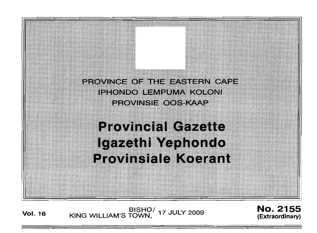

**Vol. <sup>16</sup>** BISHO/ KING WILLIAM'S TOWN, 17 JULY 2009

No. 2155 **(Extraordinary)**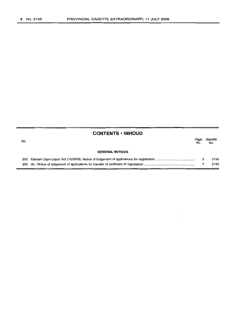|     | <b>CONTENTS • INHOUD</b> |             |                |
|-----|--------------------------|-------------|----------------|
| No. |                          | Page<br>No. | Gazette<br>No. |
|     | <b>GENERAL NOTICES</b>   |             |                |
|     |                          | з           | 2155           |
|     |                          |             | 2155           |

 $\mathcal{L}^{\pm}$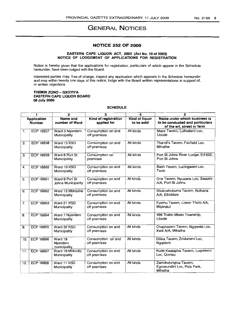# **GENERAL NOTICES**

## **NOTICE 252 OF 2009**

### **EASTERN CAPE LIQUOR ACT, 2003 (Act No. 10 of 2003) NOTICE OF LODGEMENT OF APPLICATIONS FOR REGISTRATION**

Notice is hereby given that the applications for registration, particulars of which appear in the Schedule hereunder, have been lodged with the Board.

Interested parties may, free of charge, inspect any application which appears in the Schedule hereunder and may within twenty one days of this notice, lodge with the Board written representations in support of, or written objections.

### **THEMBI ZONO - GXOVIVA EASTERN CAPE LIQUOR BOARD** 08 July **2009**

### **SCHEDULE**

|     | 1                                   | $\overline{2}$                       | 3                                   | 4                            | 5                                                                                             |
|-----|-------------------------------------|--------------------------------------|-------------------------------------|------------------------------|-----------------------------------------------------------------------------------------------|
|     | <b>Application</b><br><b>Number</b> | Name and<br>number of Ward           | Kind of registration<br>applied for | Kind of liquor<br>to be sold | Name under which business is<br>to be conducted and particulars<br>of the erf, street or farm |
| 1.  | <b>ECP 16857</b>                    | Ward 3 Nyandeni<br>Municipality      | Consumption on and<br>off premises  | All kinds                    | Major Tavern, Luthobeni Loc,<br>Libode                                                        |
| 2.  | <b>ECP 16858</b>                    | Ward 13 KSD<br>Municipality          | Consumption on and<br>off premises  | All kinds                    | Thandi's Tavern, Fairfield Loc,<br>Mthatha                                                    |
| 3.  | <b>ECP 16859</b>                    | Ward 6 Port St<br>Municipality       | Consumption on<br>premises          | All kinds                    | Port St Johns River Lodge, Erf 632,<br>Port St Johns                                          |
| 4.  | <b>ECP 16860</b>                    | Ward 10 KSD<br>Municipality          | Consumption on and<br>off premises  | All kinds                    | Bash Tavern, Lucingweni Loc,<br>Tsolo                                                         |
| 5.  | ECP 16861                           | Ward 9 Port St<br>Johns Municipality | Consumption on and<br>off premises  | All kinds                    | One Tavern, Nyusana Loc, Swazini<br>A/A, Port St Johns                                        |
| 6.  | <b>ECP 16862</b>                    | Ward 13 Mbhashe<br>Municipality      | Consumption on and<br>off premises  | All kinds                    | Shukushukuma Tavern, Ncihana<br>A/A, Elliotdale                                               |
| 7.  | ECP 16863                           | Ward 21 KSD<br>Municipality          | Consumption on and<br>off premises  | All kinds                    | Eyethu Tavern, Lower Tholo A/A,<br>Mganduli                                                   |
| 8.  | <b>ECP 16864</b>                    | Ward 7 Nyandeni<br>Municipality      | Consumption on and<br>off premises  | All kinds                    | 498 Thabo Mbeki Township,<br>Libode                                                           |
| 9.  | <b>ECP 16865</b>                    | Ward 32 KSD<br>Municipality          | Consumption on and<br>off premises  | All kinds                    | Chaphazeni Tavern, Ngqwala Loc,<br>Xwili A/A, Mthatha.                                        |
| 10. | <b>ECP 16866</b>                    | Ward 19<br>Nyandeni<br>municipality  | Consumption on and<br>off premises  | All kinds                    | Dilika Tavern, Zinduneni Loc,<br>Ngqeleni.                                                    |
| 11. | <b>ECP 16867</b>                    | Ward 19 Mhlontlo<br>Municipality     | Consumption on and<br>off premises  | All kinds                    | Kude Kwalapha Tavern, Luqolweni<br>Loc. Qumbu                                                 |
| 12. | <b>ECP 16868</b>                    | Ward 11 KSD<br>Municipality          | Consumption on and<br>off premises  | All kinds                    | Zamokulungisa Tavern,<br>Egrowundini Loc, Pola Park,<br>Mthatha                               |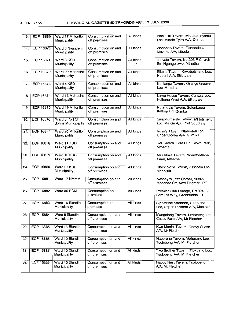|     |                  |                                      |                                    | All kinds                           | Black Hill Tavern, Mhlabamnyama                                    |
|-----|------------------|--------------------------------------|------------------------------------|-------------------------------------|--------------------------------------------------------------------|
| 13. | <b>ECP 16869</b> | Ward 17 Mhlontlo<br>Municipality     | Consumption on and<br>off premises |                                     | Loc, Middle Tyira A/A, Qumbu                                       |
| 14. | <b>ECP 16870</b> | Ward 6 Nyandeni<br>Municipality      | Consumption on and<br>off premises | All kinds                           | Ziphondo Tavern, Ziphondo Loc,<br>Mevana A/A, Libode               |
| 15. | <b>ECP 16871</b> | Ward 3 KSD<br>Municipality           | Consumption on and<br>off premises | All kinds<br><b>Street, Care of</b> | Jimvale Tavern, No.203 P Church<br>Str, Ngangelizwe, Mthatha       |
| 16. | <b>ECP 16872</b> | Ward 20 Mbhashe<br>Municipality      | Consumption on and<br>off premises | All kinds                           | Sikoko Tavern, Krwebetshane Loc,<br>Hobeni A/A, Elliotdale         |
| 17. | <b>ECP 16873</b> | Ward 4 KSD<br>Municipality           | Consumption on and<br>off premises | All kinds                           | Nohlanga Tavern, Orange Groove<br>Loc, Mthatha                     |
| 18. | <b>ECP 16874</b> | Ward 13 Mbhashe<br>Municipality      | Consumption on and<br>off premises | All kinds                           | Lamp House Tavern, Cuntula Loc,<br>Ncihana West A/A, Elliotdale    |
| 19. | <b>ECP 16875</b> | Ward 19 Mhiontio<br>Municipality     | Consumption on and<br>off premises | All kinds                           | Notanda's Tavern, Sulenkama<br>Katkop Rd, Qumbu                    |
| 20. | <b>ECP 16876</b> | Ward 8 Port St<br>Johns Municipality | Consumption on and<br>off premises | All kinds                           | Siyaphumelela Tavern, Mhlotshenu<br>Loc, Majola A/A, Port St Johns |
| 21. | <b>ECP 16877</b> | Ward 20 Mhlontlo<br>Municipality     | Consumption on and<br>off premises | All kinds                           | Vuyo's Tavern, Ntaboduli Loc,<br>Upper Qodira A/A, Qumbu           |
| 22. | <b>ECP 16878</b> | Ward 11 KSD<br>Municipality          | Consumption on and<br>off premises | All kinds                           | Sdi Tavern, Ecatu Rd, Slovo Park,<br>Mthatha                       |
| 23. | <b>ECP 16879</b> | Ward 10 KSD<br>Municipality          | Consumption on and<br>off premises | All kinds                           | Masikhule Tavern, Ncambedlana<br>Farm, Mthatha                     |
| 24. | <b>ECP 16880</b> | Ward 27 KSD<br>Municipality          | Consumption on and<br>off premises | All kinds                           | Shosholoza Tavern, Zibhodla Loc,<br>Mqanduli                       |
| 25. | <b>ECP 16881</b> | Ward 17 NMMM                         | Consumption on and<br>off premises | All kinds                           | Ncapayi's Jazz Corner, 10365<br>Maganda Str, New Brighton, PE      |
| 26. | ECP 16882        | Ward 30 BCM                          | Consumption on<br>premises         | All kinds                           | Premier Club Lounge, Erf 894, 66<br>Settler's Way, Greenfields, EL |
| 27. | <b>ECP 16883</b> | Ward 15 Elundini<br>Municipality     | Consumption on<br>premises         | All kinds                           | Siphathise Shebeen, Sakhutha<br>Loc, Upper Tsitsana A/A, Maclear   |
| 28. | <b>ECP 16884</b> | Ward 8 Elundini<br>Municipality      | Consumption on and<br>off premises | All kinds                           | Mangolong Tavern, Lithotheng Loc,<br>Castle Rock A/A, Mt Fletcher  |
| 29. | <b>ECP 16885</b> | Ward 16 Elundini<br>Municipality     | Consumption on and<br>off premises | All kinds                           | Kwa Manini Tavern, Chevy Chase<br>A/A, Mt Fletcher                 |
| 30. | <b>ECP 16886</b> | Ward 10 Elundini<br>Municipality     | Consumption on and<br>off premises | All kinds                           | Haborona Tavern, Mpharane Loc,<br>Tsolobeng A/A, Mt Fletcher       |
| 31. | <b>ECP 16887</b> | Ward 10 Elundini<br>Municipality     | Consumption on and<br>off premises | All kinds                           | Two Brother Tavern, Tlokoeng Loc,<br>Tsolobeng A/A, Mt Fletcher    |
| 32. | <b>ECP 16888</b> | Ward 10 Elundini<br>Municipality     | Consumption on and<br>off premises | All kinds                           | Happy Rest Tavern, Tsolobeng<br>A/A, Mt Fletcher                   |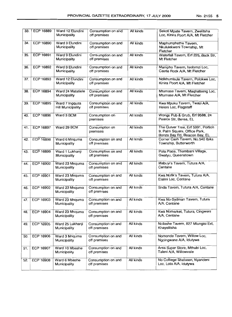| 33. | <b>ECP 16889</b> | Ward 12 Elundini<br>Municipality           | Consumption on and<br>off premises | All kinds | Sekoti Mpate Tavern, Zwelitsha<br>Loc, Kinira Poort A/A, Mt Fletcher                               |
|-----|------------------|--------------------------------------------|------------------------------------|-----------|----------------------------------------------------------------------------------------------------|
| 34. | ECP 16890        | Ward 9 Elundini<br>Municipality            | Consumption on and<br>off premises | All kinds | Maphumphethe Tavern,<br>Nkululekweni Township, Mt<br>Fletcher                                      |
| 35. | ECP 16891        | Ward 9 Elundini<br>Municipality            | Consumption on and<br>off premises | All kinds | Waterfall Tavern, Erf 225, Back Str,<br>Mt Fletcher                                                |
| 36. | ECP 16892        | Ward 9 Elundini<br>Municipality            | Consumption on and<br>off premises | All kinds | Mampho Tavern, Isolomzi Loc,<br>Castle Rock A/A, Mt Fletcher                                       |
| 37. | ECP 16893        | Ward 12 Elundini<br>Municipality           | Consumption on and<br>off premises | All kinds | Ndikhumbule Tavern, Polokwe Loc,<br>Kinira Poort A/A, Mt Fletcher                                  |
| 38. | <b>ECP 16894</b> | Ward 24 Matatiele<br>Municipality          | Consumption on and<br>off premises | All kinds | Mtumase Tavern, Maghatseng Loc,<br>Mtumase A/A, Mt Fletcher                                        |
| 39. | <b>ECP 16895</b> | Ward 7 Ingquza<br><b>Hill Municipality</b> | Consumption on and<br>off premises | All kinds | Kwa Mpuku Tavern, Twazi A/A,<br>Heleni Loc, Flagstaff                                              |
| 40. | <b>ECP 16896</b> | Ward 3 BCM                                 | Consumption on<br>premises         | All kinds | Wongs Pub & Grub, Erf 9588, 24<br>Pearce Str, Berea, EL                                            |
| 41. | <b>ECP 16897</b> | Ward 29 BCM                                | Consumption on<br>premises         | All kinds | The Quiver Tree, Erf 5991, Portion<br>9, Palm Square, Office Park,<br>Bonza Bay Rd, Beacon Bay, EL |
| 42. | <b>ECP 16898</b> | Ward 6 Mnquma<br>Municipality              | Consumption on and<br>off premises | All kinds | Corner Cash Tavern, No.540 Ibika<br>Township, Butterworth                                          |
| 43. | <b>ECP 16899</b> | Ward 1 Lukhanji<br>Municipality            | Consumption on and<br>off premises | All kinds | Pola Place, Thembani Village,<br>Gwatyu, Queenstown                                                |
| 44. | <b>ECP 16900</b> | Ward 23 Mnquma<br>Municipality             | Consumption on and<br>off premises | All kinds | Mabuyi's Tavern, Tutura A/A,<br>Centane                                                            |
| 45. | ECP 16901        | Ward 23 Mnquma<br>Municipality             | Consumption on and<br>off premises | All kinds | Kwa Nofik's Tavern, Tutura A/A,<br>Elalini Loc, Centane                                            |
| 46. | ECP 16902        | Ward 23 Mnquma<br>Municipality             | Consumption on and<br>off premises | All kinds | Snda Tavern, Tutura A/A, Centane                                                                   |
| 47. | ECP 16903        | Ward 23 Mnquma<br>Municipality             | Consumption on and<br>off premises | All kinds | Kwa No-Sydman Tavern, Tutura<br>A/A, Centane                                                       |
| 48. | ECP 16904        | Ward 23 Mnquma<br>Municipality             | Consumption on and<br>off premises | All kinds | Kwa Nomarket, Tutura, Cingweni<br>A/A. Centane                                                     |
| 49. | <b>ECP 16905</b> | Ward 25 Lukhanji<br>Municipality           | Consumption on and<br>off premises | All kinds | Ncilashe Tavern, 827 Mlungisi Ext,<br>Khayelitsha                                                  |
| 50. | ECP 16906        | Ward 3 Mnquma<br>Municipality              | Consumption on and<br>off premises | All kinds | Nomonde Tavern, Willow Loc,<br>Ngcingwane A/A, Idutywa                                             |
| 51. | <b>ECP 16907</b> | Ward 10 Mbashe<br>Municipality             | Consumption on and<br>off premises | All kinds | Area Super Store, Mthubi Loc,<br>Taleni A/A, Willowvale                                            |
| 52. | ECP 16908        | Ward 6 Mbashe<br>Municipality              | Consumption on and<br>off premises | All kinds | No Colllege Shebeen, Nyandeni<br>Loc, Lota A/A, Idutywa                                            |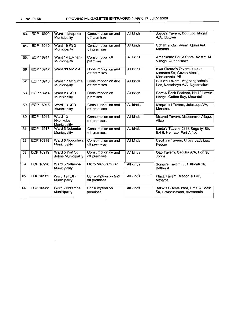| 53. | <b>ECP 16909</b> | Ward 1 Mnquma<br>Municipality        | Consumption on and<br>off premises | All kinds | Joyce's Tavern, Doti Loc, Mngati<br>A/A, Idutywa                          |
|-----|------------------|--------------------------------------|------------------------------------|-----------|---------------------------------------------------------------------------|
| 54. | ECP 16910        | Ward 19 KSD<br>Municipality          | Consumption on and<br>off premises | All kinds | Sphamandla Tavern, Qunu A/A,<br>Mthatha.                                  |
| 55. | ECP 16911        | Ward 14 Lukhanji<br>Municipality     | Consumption off<br>premises        | All kinds | Amankomo Bottle Store, No.371 M<br>Village, Queenstown                    |
| 56. | ECP 16912        | Ward 33 NMMM                         | Consumption on and<br>off premises | All kinds | Kwa Skomo's Tavern, 18289<br>Mkhonto Str, Govan Mbeki,<br>Missionvale, PE |
| 57. | ECP 16913        | Ward 17 Mnquma<br>Municipality       | Consumption on and<br>off premises | All kinds | Busie's Tavern, Mngcangcathelo<br>Loc, Nomaheya A/A, Ngqamakwe            |
| 58. | ECP 16914        | Ward 23 KSD<br>Municipality          | Consumption on<br>premises         | All kinds | Bomvu Back Packers, No 19 Lower<br>Nenga, Coffee Bay, Mqanduli.           |
| 59. | <b>ECP 16915</b> | Ward 18 KSD<br>Municipality          | Consumption on and<br>off premises | All kinds | Maqwatini Tavern, Julukuqu A/A,<br>Mthatha.                               |
| 60. | <b>ECP 16916</b> | Ward 12<br>Nkonkobe<br>Municipality  | Consumption on and<br>off premises | All kinds | Msored Tavern, Msobomvu Village,<br>Alice                                 |
| 61. | <b>ECP 16917</b> | Ward 6 Ndlambe<br>Municipality       | Consumption on and<br>off premises | All kinds | Luntu's Tavern, 2775 Sagwityi Str,<br>Ext 6, Nemato, Port Alfred          |
| 62. | <b>ECP 16918</b> | Ward 6 Ngqushwa<br>Municipality      | Consumption on and<br>off premises | All kinds | Cecillia's Tavern, Crossroads Loc,<br>Peddie                              |
| 63. | <b>ECP 16919</b> | Ward 5 Port St<br>Johns Municipality | Consumption on and<br>off premises | All kinds | Otto Tavern, Caguba A/A, Port St<br>Johns.                                |
| 64. | ECP 16920        | Ward 5 Ndlambe<br>Municipality       | Micro Manufacturer                 | All kinds | Songo's Tavern, 901 Xhanti Str,<br><b>Bathurst</b>                        |
| 65. | ECP 16921        | Ward 19 KSD<br>Municipality          | Consumption on and<br>off premises | All kinds | Plaza Tavern, Madonisi Loc,<br>Mthatha                                    |
| 66. | <b>ECP 16922</b> | Ward 2 Ndlambe<br>Municipality       | Consumption on<br>premises         | All kinds | Bakanas Restaurant, Erf 187, Main<br>Str, Boknesstrand, Alexandria        |

 $\ddot{\phantom{a}}$